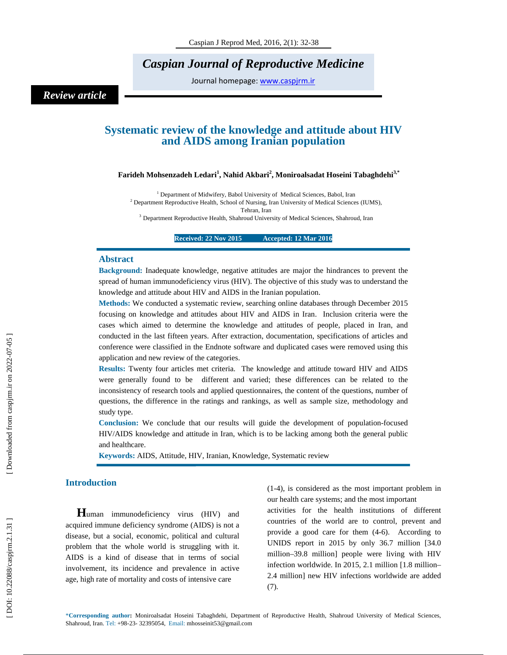# *Caspian Journal of Reproductive Medicine*

Journal homepage: www.caspjrm.ir

# *Review article*

## **Systematic review of the knowledge and attitude about HIV and AIDS among Iranian population**

 $\mathbf{F}$ arideh Mohsenzadeh Ledari $^1$ , Nahid Akbari $^2$ , Moniroalsadat Hoseini Tabaghdehi $^{3,*}$ 

<sup>1</sup> Department of Midwifery, Babol University of Medical Sciences, Babol, Iran  $2^{2}$  Department Reproductive Health, School of Nursing, Iran University of Medical Sciences (IUMS), Tehran, Iran <sup>3</sup> Department Reproductive Health, Shahroud University of Medical Sciences, Shahroud, Iran

**Received: 22 Nov 2015 Accepted: 12 Mar 2016** 

#### **Abstract**

**Background:** Inadequate knowledge, negative attitudes are major the hindrances to prevent the spread of human immunodeficiency virus (HIV). The objective of this study was to understand the knowledge and attitude about HIV and AIDS in the Iranian population.

**Methods:** We conducted a systematic review, searching online databases through December 2015 focusing on knowledge and attitudes about HIV and AIDS in Iran. Inclusion criteria were the cases which aimed to determine the knowledge and attitudes of people, placed in Iran, and conducted in the last fifteen years. After extraction, documentation, specifications of articles and conference were classified in the Endnote software and duplicated cases were removed using this application and new review of the categories.

**Results:** Twenty four articles met criteria. The knowledge and attitude toward HIV and AIDS were generally found to be different and varied; these differences can be related to the inconsistency of research tools and applied questionnaires, the content of the questions, number of questions, the difference in the ratings and rankings, as well as sample size, methodology and study type.

**Conclusion:** We conclude that our results will guide the development of population-focused HIV/AIDS knowledge and attitude in Iran, which is to be lacking among both the general public and healthcare.

**Keywords:** AIDS, Attitude, HIV, Iranian, Knowledge, Systematic review

**Introduction H**uman immunodeficiency virus (HIV) and acquired immune deficiency syndrome (AIDS) is not a disease, but a social, economic, political and cultural problem that the whole world is struggling with it. AIDS is a kind of disease that in terms of social involvement, its incidence and prevalence in active age, high rate of mortality and costs of intensive care

(1-4), is considered as the most important problem in our health care systems; and the most important

activities for the health institutions of different countries of the world are to control, prevent and provide a good care for them (4-6). According to UNIDS report in 2015 by only 36.7 million [34.0 million–39.8 million] people were living with HIV infection worldwide. In 2015, 2.1 million [1.8 million– 2.4 million] new HIV infections worldwide are added (7).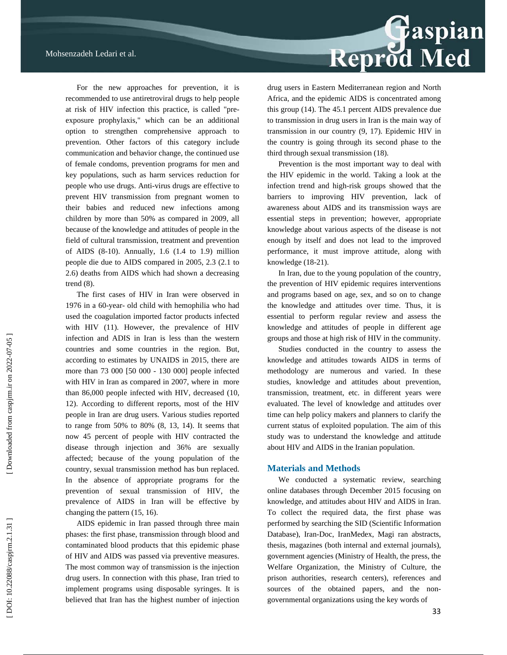Reprod Med

For the new approaches for prevention, it is recommended to use antiretroviral drugs to help people at risk of HIV infection this practice, is called "preexposure prophylaxis," which can be an additional option to strengthen comprehensive approach to prevention. Other factors of this category include communication and behavior change, the continued use of female condoms, prevention programs for men and key populations, such as harm services reduction for people who use drugs. Anti-virus drugs are effective to prevent HIV transmission from pregnant women to their babies and reduced new infections among children by more than 50% as compared in 2009, all because of the knowledge and attitudes of people in the field of cultural transmission, treatment and prevention of AIDS (8-10). Annually, 1.6 (1.4 to 1.9) million people die due to AIDS compared in 2005, 2.3 (2.1 to 2.6) deaths from AIDS which had shown a decreasing trend (8).

The first cases of HIV in Iran were observed in 1976 in a 60-year- old child with hemophilia who had used the coagulation imported factor products infected with HIV (11). However, the prevalence of HIV infection and ADIS in Iran is less than the western countries and some countries in the region. But, according to estimates by UNAIDS in 2015, there are more than 73 000 [50 000 - 130 000] people infected with HIV in Iran as compared in 2007, where in more than 86,000 people infected with HIV, decreased (10, 12). According to different reports, most of the HIV people in Iran are drug users. Various studies reported to range from 50% to 80% (8, 13, 14). It seems that now 45 percent of people with HIV contracted the disease through injection and 36% are sexually affected; because of the young population of the country, sexual transmission method has bun replaced. In the absence of appropriate programs for the prevention of sexual transmission of HIV, the prevalence of AIDS in Iran will be effective by changing the pattern (15, 16).

AIDS epidemic in Iran passed through three main phases: the first phase, transmission through blood and contaminated blood products that this epidemic phase of HIV and AIDS was passed via preventive measures. The most common way of transmission is the injection drug users. In connection with this phase, Iran tried to implement programs using disposable syringes. It is believed that Iran has the highest number of injection drug users in Eastern Mediterranean region and North Africa, and the epidemic AIDS is concentrated among this group (14). The 45.1 percent AIDS prevalence due to transmission in drug users in Iran is the main way of transmission in our country (9, 17). Epidemic HIV in the country is going through its second phase to the third through sexual transmission (18).

Prevention is the most important way to deal with the HIV epidemic in the world. Taking a look at the infection trend and high-risk groups showed that the barriers to improving HIV prevention, lack of awareness about AIDS and its transmission ways are essential steps in prevention; however, appropriate knowledge about various aspects of the disease is not enough by itself and does not lead to the improved performance, it must improve attitude, along with knowledge (18-21).

In Iran, due to the young population of the country, the prevention of HIV epidemic requires interventions and programs based on age, sex, and so on to change the knowledge and attitudes over time. Thus, it is essential to perform regular review and assess the knowledge and attitudes of people in different age groups and those at high risk of HIV in the community.

Studies conducted in the country to assess the knowledge and attitudes towards AIDS in terms of methodology are numerous and varied. In these studies, knowledge and attitudes about prevention, transmission, treatment, etc. in different years were evaluated. The level of knowledge and attitudes over time can help policy makers and planners to clarify the current status of exploited population. The aim of this study was to understand the knowledge and attitude about HIV and AIDS in the Iranian population.

### **Materials and Methods**

We conducted a systematic review, searching online databases through December 2015 focusing on knowledge, and attitudes about HIV and AIDS in Iran. To collect the required data, the first phase was performed by searching the SID (Scientific Information Database), Iran-Doc, IranMedex, Magi ran abstracts, thesis, magazines (both internal and external journals), government agencies (Ministry of Health, the press, the Welfare Organization, the Ministry of Culture, the prison authorities, research centers), references and sources of the obtained papers, and the nongovernmental organizations using the key words of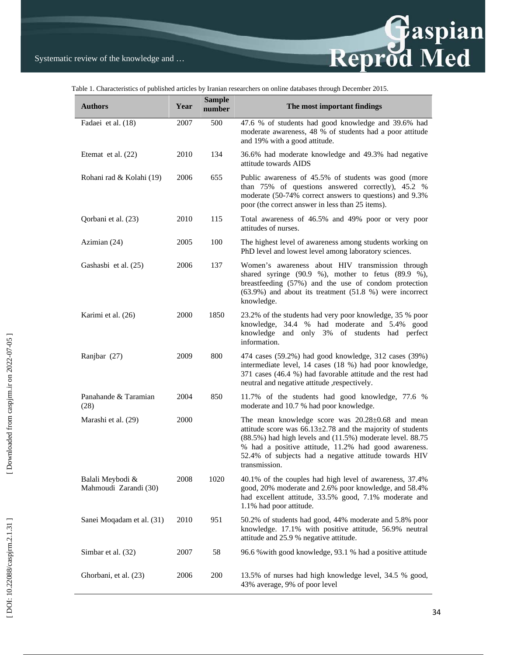

Table 1. Characteristics of published articles by Iranian researchers on online databases through December 2015.

| <b>Authors</b>                            | Year | <b>Sample</b><br>number | The most important findings                                                                                                                                                                                                                                                                                         |
|-------------------------------------------|------|-------------------------|---------------------------------------------------------------------------------------------------------------------------------------------------------------------------------------------------------------------------------------------------------------------------------------------------------------------|
| Fadaei et al. (18)                        | 2007 | 500                     | 47.6 % of students had good knowledge and 39.6% had<br>moderate awareness, 48 % of students had a poor attitude<br>and 19% with a good attitude.                                                                                                                                                                    |
| Etemat et al. $(22)$                      | 2010 | 134                     | 36.6% had moderate knowledge and 49.3% had negative<br>attitude towards AIDS                                                                                                                                                                                                                                        |
| Rohani rad & Kolahi (19)                  | 2006 | 655                     | Public awareness of 45.5% of students was good (more<br>than 75% of questions answered correctly), 45.2 %<br>moderate (50-74% correct answers to questions) and 9.3%<br>poor (the correct answer in less than 25 items).                                                                                            |
| Qorbani et al. (23)                       | 2010 | 115                     | Total awareness of 46.5% and 49% poor or very poor<br>attitudes of nurses.                                                                                                                                                                                                                                          |
| Azimian (24)                              | 2005 | 100                     | The highest level of awareness among students working on<br>PhD level and lowest level among laboratory sciences.                                                                                                                                                                                                   |
| Gashasbi et al. (25)                      | 2006 | 137                     | Women's awareness about HIV transmission through<br>shared syringe $(90.9 %)$ , mother to fetus $(89.9 %)$ ,<br>breastfeeding (57%) and the use of condom protection<br>$(63.9\%)$ and about its treatment $(51.8\%)$ were incorrect<br>knowledge.                                                                  |
| Karimi et al. (26)                        | 2000 | 1850                    | 23.2% of the students had very poor knowledge, 35 % poor<br>knowledge, 34.4 % had moderate and 5.4% good<br>knowledge and only 3% of students had perfect<br>information.                                                                                                                                           |
| Ranjbar (27)                              | 2009 | 800                     | 474 cases (59.2%) had good knowledge, 312 cases (39%)<br>intermediate level, 14 cases (18 %) had poor knowledge,<br>371 cases (46.4 %) had favorable attitude and the rest had<br>neutral and negative attitude , respectively.                                                                                     |
| Panahande & Taramian<br>(28)              | 2004 | 850                     | 11.7% of the students had good knowledge, 77.6 %<br>moderate and 10.7 % had poor knowledge.                                                                                                                                                                                                                         |
| Marashi et al. (29)                       | 2000 |                         | The mean knowledge score was 20.28±0.68 and mean<br>attitude score was $66.13 \pm 2.78$ and the majority of students<br>(88.5%) had high levels and (11.5%) moderate level. 88.75<br>% had a positive attitude, 11.2% had good awareness.<br>52.4% of subjects had a negative attitude towards HIV<br>transmission. |
| Balali Meybodi &<br>Mahmoudi Zarandi (30) | 2008 | 1020                    | 40.1% of the couples had high level of awareness, 37.4%<br>good, 20% moderate and 2.6% poor knowledge, and 58.4%<br>had excellent attitude, 33.5% good, 7.1% moderate and<br>1.1% had poor attitude.                                                                                                                |
| Sanei Moqadam et al. (31)                 | 2010 | 951                     | 50.2% of students had good, 44% moderate and 5.8% poor<br>knowledge. 17.1% with positive attitude, 56.9% neutral<br>attitude and 25.9 % negative attitude.                                                                                                                                                          |
| Simbar et al. (32)                        | 2007 | 58                      | 96.6 % with good knowledge, 93.1 % had a positive attitude                                                                                                                                                                                                                                                          |
| Ghorbani, et al. (23)                     | 2006 | 200                     | 13.5% of nurses had high knowledge level, 34.5 % good,<br>43% average, 9% of poor level                                                                                                                                                                                                                             |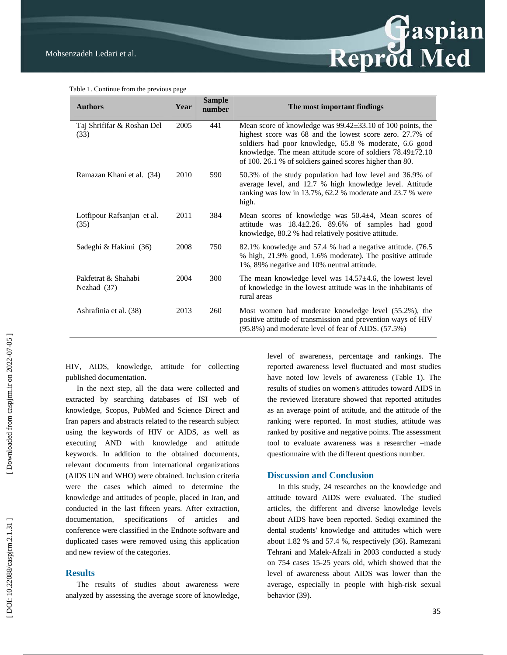

Table 1. Continue from the previous page

| <b>Authors</b>                     | Year | <b>Sample</b><br>number | The most important findings                                                                                                                                                                                                                                                                                            |
|------------------------------------|------|-------------------------|------------------------------------------------------------------------------------------------------------------------------------------------------------------------------------------------------------------------------------------------------------------------------------------------------------------------|
| Taj Shrififar & Roshan Del<br>(33) | 2005 | 441                     | Mean score of knowledge was $99.42 \pm 33.10$ of 100 points, the<br>highest score was 68 and the lowest score zero. 27.7% of<br>soldiers had poor knowledge, 65.8 % moderate, 6.6 good<br>knowledge. The mean attitude score of soldiers $78.49 \pm 72.10$<br>of 100. 26.1 % of soldiers gained scores higher than 80. |
| Ramazan Khani et al. (34)          | 2010 | 590                     | 50.3% of the study population had low level and 36.9% of<br>average level, and 12.7 % high knowledge level. Attitude<br>ranking was low in 13.7%, 62.2 % moderate and 23.7 % were<br>high.                                                                                                                             |
| Lotfipour Rafsanjan et al.<br>(35) | 2011 | 384                     | Mean scores of knowledge was $50.4 \pm 4$ , Mean scores of<br>attitude was $18.4 \pm 2.26$ . 89.6% of samples had good<br>knowledge, 80.2 % had relatively positive attitude.                                                                                                                                          |
| Sadeghi & Hakimi (36)              | 2008 | 750                     | 82.1% knowledge and 57.4 % had a negative attitude. (76.5)<br>% high, 21.9% good, 1.6% moderate). The positive attitude<br>1%, 89% negative and 10% neutral attitude.                                                                                                                                                  |
| Pakfetrat & Shahabi<br>Nezhad (37) | 2004 | 300                     | The mean knowledge level was $14.57 \pm 4.6$ , the lowest level<br>of knowledge in the lowest attitude was in the inhabitants of<br>rural areas                                                                                                                                                                        |
| Ashrafinia et al. (38)             | 2013 | 260                     | Most women had moderate knowledge level (55.2%), the<br>positive attitude of transmission and prevention ways of HIV<br>$(95.8\%)$ and moderate level of fear of AIDS. $(57.5\%)$                                                                                                                                      |

HIV, AIDS, knowledge, attitude for collecting published documentation.

In the next step, all the data were collected and extracted by searching databases of ISI web of knowledge, Scopus, PubMed and Science Direct and Iran papers and abstracts related to the research subject using the keywords of HIV or AIDS, as well as executing AND with knowledge and attitude keywords. In addition to the obtained documents, relevant documents from international organizations (AIDS UN and WHO) were obtained. Inclusion criteria were the cases which aimed to determine the knowledge and attitudes of people, placed in Iran, and conducted in the last fifteen years. After extraction, documentation, specifications of articles and conference were classified in the Endnote software and duplicated cases were removed using this application and new review of the categories.

#### **Results**

The results of studies about awareness were analyzed by assessing the average score of knowledge,

level of awareness, percentage and rankings. The reported awareness level fluctuated and most studies have noted low levels of awareness (Table 1). The results of studies on women's attitudes toward AIDS in the reviewed literature showed that reported attitudes as an average point of attitude, and the attitude of the ranking were reported. In most studies, attitude was ranked by positive and negative points. The assessment tool to evaluate awareness was a researcher –made questionnaire with the different questions number.

#### **Discussion and Conclusion**

In this study, 24 researches on the knowledge and attitude toward AIDS were evaluated. The studied articles, the different and diverse knowledge levels about AIDS have been reported. Sediqi examined the dental students' knowledge and attitudes which were about 1.82 % and 57.4 %, respectively (36). Ramezani Tehrani and Malek-Afzali in 2003 conducted a study on 754 cases 15-25 years old, which showed that the level of awareness about AIDS was lower than the average, especially in people with high-risk sexual behavior (39).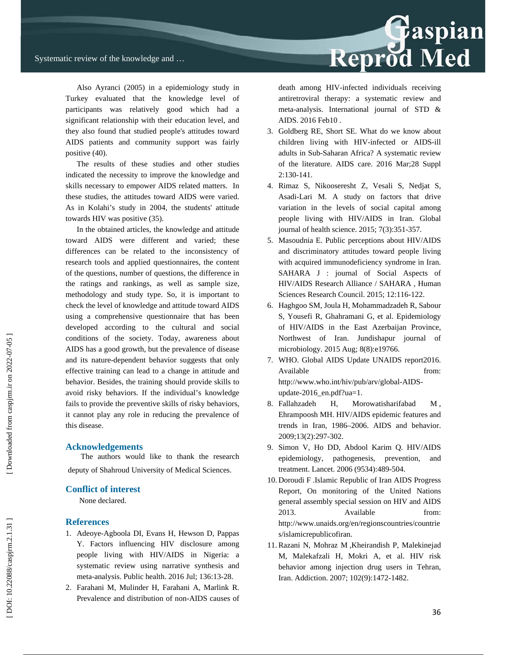

Also Ayranci (2005) in a epidemiology study in Turkey evaluated that the knowledge level of participants was relatively good which had a significant relationship with their education level, and they also found that studied people's attitudes toward AIDS patients and community support was fairly positive (40).

The results of these studies and other studies indicated the necessity to improve the knowledge and skills necessary to empower AIDS related matters. In these studies, the attitudes toward AIDS were varied. As in Kolahi's study in 2004, the students' attitude towards HIV was positive (35).

In the obtained articles, the knowledge and attitude toward AIDS were different and varied; these differences can be related to the inconsistency of research tools and applied questionnaires, the content of the questions, number of questions, the difference in the ratings and rankings, as well as sample size, methodology and study type. So, it is important to check the level of knowledge and attitude toward AIDS using a comprehensive questionnaire that has been developed according to the cultural and social conditions of the society. Today, awareness about AIDS has a good growth, but the prevalence of disease and its nature-dependent behavior suggests that only effective training can lead to a change in attitude and behavior. Besides, the training should provide skills to avoid risky behaviors. If the individual's knowledge fails to provide the preventive skills of risky behaviors, it cannot play any role in reducing the prevalence of this disease.

#### **Acknowledgements**

 The authors would like to thank the research deputy of Shahroud University of Medical Sciences.

#### **Conflict of interest**

None declared.

#### **References**

- 1. Adeoye-Agboola DI, Evans H, Hewson D, Pappas Y. Factors influencing HIV disclosure among people living with HIV/AIDS in Nigeria: a systematic review using narrative synthesis and meta-analysis. Public health. 2016 Jul; 136:13-28.
- 2. Farahani M, Mulinder H, Farahani A, Marlink R. Prevalence and distribution of non-AIDS causes of

death among HIV-infected individuals receiving antiretroviral therapy: a systematic review and meta-analysis. International journal of STD & AIDS. 2016 Feb 10 .

- 3. Goldberg RE, Short SE. What do we know about children living with HIV-infected or AIDS-ill adults in Sub-Saharan Africa? A systematic review of the literature. AIDS care. 2016 Mar;28 Suppl 2:130-141.
- 4. Rimaz S, Nikooseresht Z, Vesali S, Nedjat S, Asadi-Lari M. A study on factors that drive variation in the levels of social capital among people living with HIV/AIDS in Iran. Global journal of health science. 2015; 7(3):351-357.
- 5. Masoudnia E. Public perceptions about HIV/AIDS and discriminatory attitudes toward people living with acquired immunodeficiency syndrome in Iran. SAHARA J : journal of Social Aspects of HIV/AIDS Research Alliance / SAHARA , Human Sciences Research Council. 2015; 12:116-122.
- 6. Haghgoo SM, Joula H, Mohammadzadeh R, Sabour S, Yousefi R, Ghahramani G, et al. Epidemiology of HIV/AIDS in the East Azerbaijan Province, Northwest of Iran. Jundishapur journal of microbiology. 2015 Aug; 8(8):e19766.
- 7. WHO. Global AIDS Update UNAIDS report2016. Available from: http://www.who.int/hiv/pub/arv/global-AIDSupdate-2016\_en.pdf?ua=1.
- 8. Fallahzadeh H, Morowatisharifabad M , Ehrampoosh MH. HIV/AIDS epidemic features and trends in Iran, 1986–2006. AIDS and behavior. 2009;13(2):297-302.
- 9. Simon V, Ho DD, Abdool Karim Q. HIV/AIDS epidemiology, pathogenesis, prevention, and treatment. Lancet. 2006 (9534):489-504.
- 10. Doroudi F .Islamic Republic of Iran AIDS Progress Report, On monitoring of the United Nations general assembly special session on HIV and AIDS 2013. Available from: http://www.unaids.org/en/regionscountries/countrie s/islamicrepublicofiran.
- 11. Razani N, Mohraz M ,Kheirandish P, Malekinejad M, Malekafzali H, Mokri A, et al. HIV risk behavior among injection drug users in Tehran, Iran. Addiction. 2007; 102(9):1472-1482.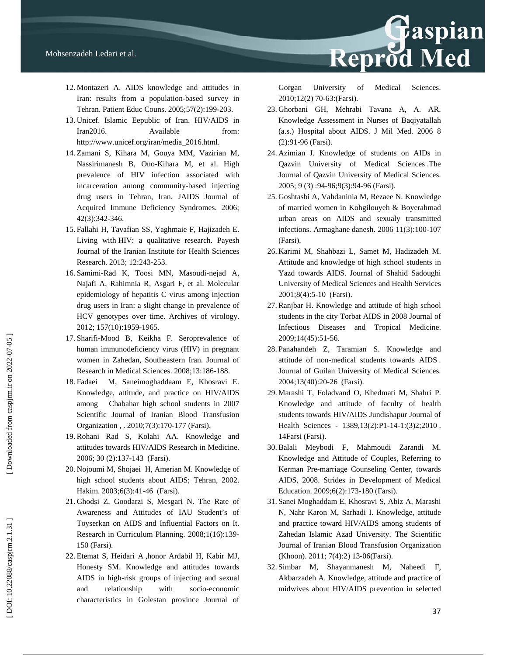

- 12. Montazeri A. AIDS knowledge and attitudes in Iran: results from a population-based survey in Tehran. Patient Educ Couns. 2005;57(2):199-203.
- 13. Unicef. Islamic Eepublic of Iran. HIV/AIDS in Iran2016. Available from: http://www.unicef.org/iran/media\_2016.html.
- 14. Zamani S, Kihara M, Gouya MM, Vazirian M, Nassirimanesh B, Ono-Kihara M, et al. High prevalence of HIV infection associated with incarceration among community-based injecting drug users in Tehran, Iran. JAIDS Journal of Acquired Immune Deficiency Syndromes. 2006; 42(3):342-346.
- 15. Fallahi H, Tavafian SS, Yaghmaie F, Hajizadeh E. Living with HIV: a qualitative research. Payesh Journal of the Iranian Institute for Health Sciences Research. 2013; 12:243-253.
- 16. Samimi-Rad K, Toosi MN, Masoudi-nejad A, Najafi A, Rahimnia R, Asgari F, et al. Molecular epidemiology of hepatitis C virus among injection drug users in Iran: a slight change in prevalence of HCV genotypes over time. Archives of virology. 2012; 157(10):1959-1965.
- 17. Sharifi-Mood B, Keikha F. Seroprevalence of human immunodeficiency virus (HIV) in pregnant women in Zahedan, Southeastern Iran. Journal of Research in Medical Sciences. 2008;13:186-188.
- 18. Fadaei M, Saneimoghaddaam E, Khosravi E. Knowledge, attitude, and practice on HIV/AIDS among Chabahar high school students in 2007 Scientific Journal of Iranian Blood Transfusion Organization , . 2010;7(3):170-177 (Farsi).
- 19. Rohani Rad S, Kolahi AA. Knowledge and attitudes towards HIV/AIDS Research in Medicine. 2006; 30 (2):137-143 (Farsi).
- 20. Nojoumi M, Shojaei H, Amerian M. Knowledge of high school students about AIDS; Tehran, 2002. Hakim. 2003;6(3):41-46 (Farsi).
- 21. Ghodsi Z, Goodarzi S, Mesgari N. The Rate of Awareness and Attitudes of IAU Student's of Toyserkan on AIDS and Influential Factors on It. Research in Curriculum Planning. 2008;1(16):139- 150 (Farsi).
- 22. Etemat S, Heidari A ,honor Ardabil H, Kabir MJ, Honesty SM. Knowledge and attitudes towards AIDS in high-risk groups of injecting and sexual and relationship with socio-economic characteristics in Golestan province Journal of

Gorgan University of Medical Sciences. 2010:12(2) 70-63: (Farsi).

- 23. Ghorbani GH, Mehrabi Tavana A, A. AR. Knowledge Assessment in Nurses of Baqiyatallah (a.s.) Hospital about AIDS. J Mil Med. 2006 8 (2):91-96 (Farsi).
- 24. Azimian J. Knowledge of students on AIDs in Qazvin University of Medical Sciences .The Journal of Qazvin University of Medical Sciences. 2005; 9 (3) :94-96;9(3):94-96 (Farsi).
- 25. Goshtasbi A, Vahdaninia M, Rezaee N. Knowledge of married women in Kohgilouyeh & Boyerahmad urban areas on AIDS and sexualy transmitted infections. Armaghane danesh. 2006 11(3):100-107 (Farsi).
- 26. Karimi M, Shahbazi L, Samet M, Hadizadeh M. Attitude and knowledge of high school students in Yazd towards AIDS. Journal of Shahid Sadoughi University of Medical Sciences and Health Services 2001;8(4):5-10 (Farsi).
- 27. Ranjbar H. Knowledge and attitude of high school students in the city Torbat AIDS in 2008 Journal of Infectious Diseases and Tropical Medicine. 2009;14(45):51-56.
- 28. Panahandeh Z, Taramian S. Knowledge and attitude of non-medical students towards AIDS . Journal of Guilan University of Medical Sciences. 2004;13(40):20-26 (Farsi).
- 29. Marashi T, Foladvand O, Khedmati M, Shahri P. Knowledge and attitude of faculty of health students towards HIV/AIDS Jundishapur Journal of Health Sciences - 1389,13(2):P1-14-1:(3)2;2010. 14Farsi (Farsi).
- 30. Balali Meybodi F, Mahmoudi Zarandi M. Knowledge and Attitude of Couples, Referring to Kerman Pre-marriage Counseling Center, towards AIDS, 2008. Strides in Development of Medical Education. 2009;6(2):173-180 (Farsi).
- 31. Sanei Moghaddam E, Khosravi S, Abiz A, Marashi N, Nahr Karon M, Sarhadi I. Knowledge, attitude and practice toward HIV/AIDS among students of Zahedan Islamic Azad University. The Scientific Journal of Iranian Blood Transfusion Organization (Khoon). 2011; 7(4):2) 13-06(Farsi).
- 32. Simbar M, Shayanmanesh M, Naheedi F, Akbarzadeh A. Knowledge, attitude and practice of midwives about HIV/AIDS prevention in selected